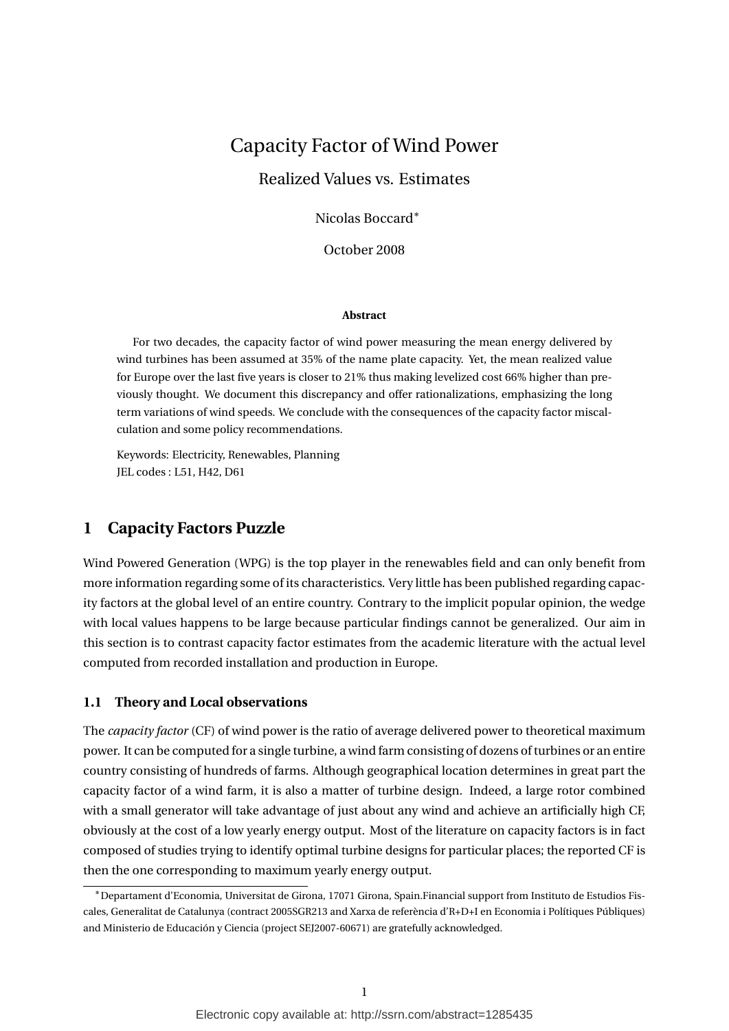# Capacity Factor of Wind Power

Realized Values vs. Estimates

Nicolas Boccard<sup>∗</sup>

October 2008

#### **Abstract**

For two decades, the capacity factor of wind power measuring the mean energy delivered by wind turbines has been assumed at 35% of the name plate capacity. Yet, the mean realized value for Europe over the last five years is closer to 21% thus making levelized cost 66% higher than previously thought. We document this discrepancy and offer rationalizations, emphasizing the long term variations of wind speeds. We conclude with the consequences of the capacity factor miscalculation and some policy recommendations.

Keywords: Electricity, Renewables, Planning JEL codes : L51, H42, D61

# **1 Capacity Factors Puzzle**

Wind Powered Generation (WPG) is the top player in the renewables field and can only benefit from more information regarding some of its characteristics. Very little has been published regarding capacity factors at the global level of an entire country. Contrary to the implicit popular opinion, the wedge with local values happens to be large because particular findings cannot be generalized. Our aim in this section is to contrast capacity factor estimates from the academic literature with the actual level computed from recorded installation and production in Europe.

#### **1.1 Theory and Local observations**

The *capacity factor* (CF) of wind power is the ratio of average delivered power to theoretical maximum power. It can be computed for a single turbine, a wind farm consisting of dozens of turbines or an entire country consisting of hundreds of farms. Although geographical location determines in great part the capacity factor of a wind farm, it is also a matter of turbine design. Indeed, a large rotor combined with a small generator will take advantage of just about any wind and achieve an artificially high CF, obviously at the cost of a low yearly energy output. Most of the literature on capacity factors is in fact composed of studies trying to identify optimal turbine designs for particular places; the reported CF is then the one corresponding to maximum yearly energy output.

<sup>∗</sup>Departament d'Economia, Universitat de Girona, 17071 Girona, Spain.Financial support from Instituto de Estudios Fiscales, Generalitat de Catalunya (contract 2005SGR213 and Xarxa de referència d'R+D+I en Economia i Polítiques Públiques) and Ministerio de Educación y Ciencia (project SEJ2007-60671) are gratefully acknowledged.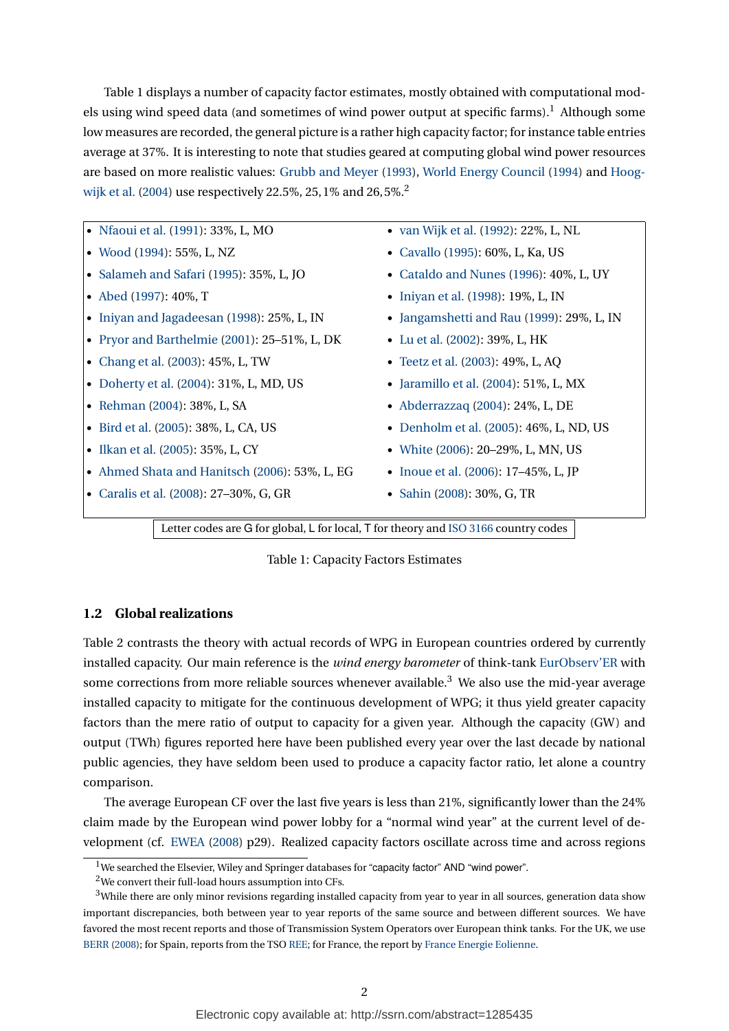Table [1](#page-1-0) displays a number of capacity factor estimates, mostly obtained with computational mod-els using wind speed data (and sometimes of wind power output at specific farms).<sup>[1](#page-1-1)</sup> Although some low measures are recorded, the general picture is a rather high capacity factor; for instance table entries average at 37%. It is interesting to note that studies geared at computing global wind power resources are based on more realistic values: [Grubb and Meyer](#page-8-0) [\(1993\)](#page-8-0), [World Energy Council](#page-9-0) [\(1994\)](#page-9-0) and [Hoog](#page-8-1)[wijk et al.](#page-8-1) [\(2004\)](#page-8-1) use respectively [2](#page-1-2)2.5%, 25, 1% and 26, 5%.<sup>2</sup>

| • Nfaoui et al. (1991): 33%, L, MO            | • van Wijk et al. (1992): 22%, L, NL      |
|-----------------------------------------------|-------------------------------------------|
| • Wood (1994): 55%, L, NZ                     | • Cavallo (1995): 60%, L, Ka, US          |
| • Salameh and Safari (1995): 35%, L, JO       | • Cataldo and Nunes (1996): 40%, L, UY    |
| • Abed $(1997)$ : 40%, T                      | • Iniyan et al. (1998): 19%, L, IN        |
| • Iniyan and Jagadeesan (1998): 25%, L, IN    | • Jangamshetti and Rau (1999): 29%, L, IN |
| • Pryor and Barthelmie (2001): 25–51%, L, DK  | • Lu et al. (2002): 39%, L, HK            |
| • Chang et al. (2003): 45%, L, TW             | • Teetz et al. (2003): 49%, L, AQ         |
| • Doherty et al. (2004): 31%, L, MD, US       | • Jaramillo et al. $(2004): 51\%$ , L, MX |
| • Rehman (2004): 38%, L, SA                   | • Abderrazzaq $(2004)$ : 24%, L, DE       |
| • Bird et al. (2005): 38%, L, CA, US          | • Denholm et al. (2005): 46%, L, ND, US   |
| • Ilkan et al. (2005): 35%, L, CY             | • White (2006): 20-29%, L, MN, US         |
| • Ahmed Shata and Hanitsch (2006): 53%, L, EG | • Inoue et al. (2006): 17–45%, L, JP      |
| • Caralis et al. (2008): 27–30%, G, GR        | • Sahin (2008): 30%, G, TR                |
|                                               |                                           |

Letter codes are G for global, L for local, T for theory and [ISO 3166](http://www.iso.org/iso/english_country_names_and_code_elements) country codes

<span id="page-1-0"></span>

### **1.2 Global realizations**

Table [2](#page-2-0) contrasts the theory with actual records of WPG in European countries ordered by currently installed capacity. Our main reference is the *wind energy barometer* of think-tank [EurObserv'ER](http://www.energies-renouvelables.org/) with some corrections from more reliable sources whenever available.<sup>[3](#page-1-3)</sup> We also use the mid-year average installed capacity to mitigate for the continuous development of WPG; it thus yield greater capacity factors than the mere ratio of output to capacity for a given year. Although the capacity (GW) and output (TWh) figures reported here have been published every year over the last decade by national public agencies, they have seldom been used to produce a capacity factor ratio, let alone a country comparison.

The average European CF over the last five years is less than 21%, significantly lower than the 24% claim made by the European wind power lobby for a "normal wind year" at the current level of development (cf. [EWEA](#page-8-11) [\(2008\)](#page-8-11) p29). Realized capacity factors oscillate across time and across regions

<span id="page-1-1"></span><sup>&</sup>lt;sup>1</sup>We searched the Elsevier, Wiley and Springer databases for "capacity factor" AND "wind power".

<span id="page-1-3"></span><span id="page-1-2"></span> $^2\rm{We}$  convert their full-load hours assumption into CFs.

<sup>&</sup>lt;sup>3</sup>While there are only minor revisions regarding installed capacity from year to year in all sources, generation data show important discrepancies, both between year to year reports of the same source and between different sources. We have favored the most recent reports and those of Transmission System Operators over European think tanks. For the UK, we use [BERR](#page-7-4) [\(2008\)](#page-7-4); for Spain, reports from the TSO [REE;](http://www.ree.es/index_de.html) for France, the report by [France Energie Eolienne.](http://fee.asso.fr/dossiers/statistiques_actualisees_du_parc_eolien_francais)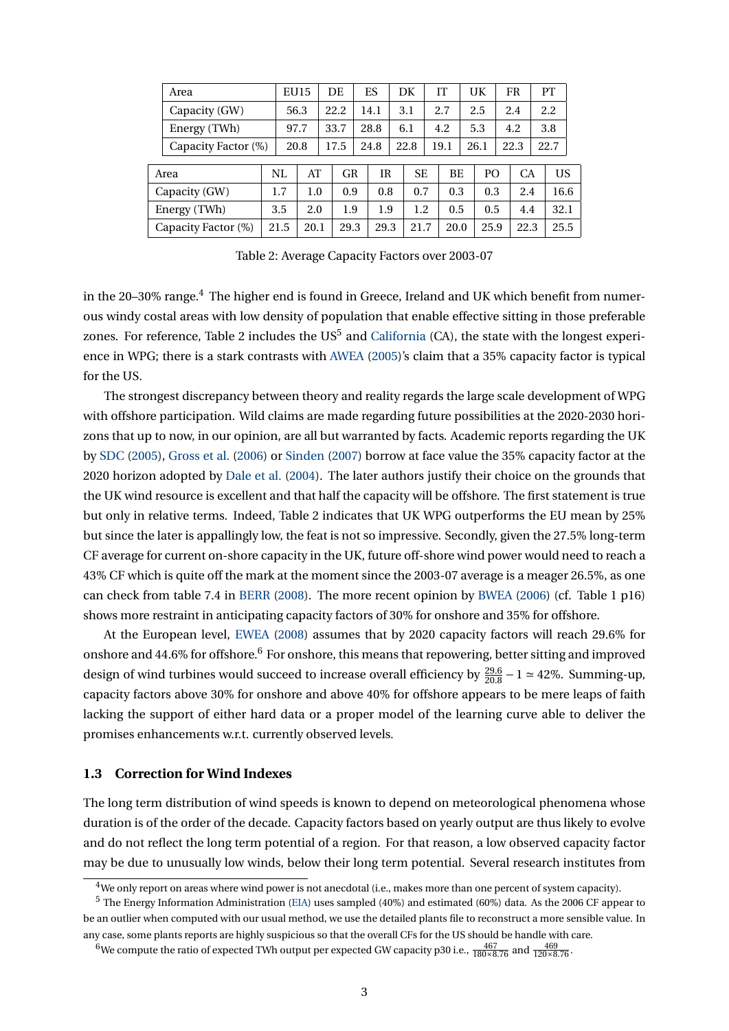|                     | Area                |      | <b>EU15</b> |  | DE   |           | ES   |                 | DK   |      | IТ        |      | UK             |      | <b>FR</b> |      | PT   |  |
|---------------------|---------------------|------|-------------|--|------|-----------|------|-----------------|------|------|-----------|------|----------------|------|-----------|------|------|--|
|                     | Capacity (GW)       |      | 56.3        |  | 22.2 |           | 14.1 |                 | 3.1  |      | 2.7       |      | 2.5            |      | 2.4       |      | 2.2  |  |
|                     | Energy (TWh)        |      | 97.7        |  | 33.7 |           | 28.8 |                 | 6.1  |      | 4.2       |      | 5.3            |      | 4.2       |      | 3.8  |  |
|                     | Capacity Factor (%) |      | 20.8        |  | 17.5 |           | 24.8 |                 | 22.8 |      | 19.1      | 26.1 |                | 22.3 |           | 22.7 |      |  |
|                     |                     |      |             |  |      |           |      |                 |      |      |           |      |                |      |           |      |      |  |
| Area                |                     | NL   | AT          |  |      | <b>GR</b> |      | ΙR<br><b>SE</b> |      |      | <b>BE</b> |      | P <sub>O</sub> |      | <b>CA</b> |      | US   |  |
| Capacity (GW)       |                     | 1.7  | 1.0         |  |      | 0.9       |      | 0.8<br>0.7      |      |      | 0.3       |      | 0.3            |      | 2.4       |      | 16.6 |  |
| Energy (TWh)        |                     | 3.5  | 2.0         |  |      | 1.9       |      | 1.9             | 1.2  |      | 0.5       |      | 0.5            |      | 4.4       |      | 32.1 |  |
| Capacity Factor (%) |                     | 21.5 | 20.1        |  |      | 29.3      |      | 29.3            | 21.7 | 20.0 |           |      | 25.9           |      | 22.3      |      | 25.5 |  |
|                     |                     |      |             |  |      |           |      |                 |      |      |           |      |                |      |           |      |      |  |

<span id="page-2-0"></span>Table 2: Average Capacity Factors over 2003-07

in the 20–30% range.<sup>[4](#page-2-1)</sup> The higher end is found in Greece, Ireland and UK which benefit from numerous windy costal areas with low density of population that enable effective sitting in those preferable zones. For reference, Table [2](#page-2-0) includes the US $^5$  $^5$  and [California](http://www.energyalmanac.ca.gov/renewables/index.html) (CA), the state with the longest experience in WPG; there is a stark contrasts with [AWEA](#page-7-5) [\(2005\)](#page-7-5)'s claim that a 35% capacity factor is typical for the US.

The strongest discrepancy between theory and reality regards the large scale development of WPG with offshore participation. Wild claims are made regarding future possibilities at the 2020-2030 horizons that up to now, in our opinion, are all but warranted by facts. Academic reports regarding the UK by [SDC](#page-9-14) [\(2005\)](#page-9-14), [Gross et al.](#page-8-12) [\(2006\)](#page-8-12) or [Sinden](#page-9-15) [\(2007\)](#page-9-15) borrow at face value the 35% capacity factor at the 2020 horizon adopted by [Dale et al.](#page-8-13) [\(2004\)](#page-8-13). The later authors justify their choice on the grounds that the UK wind resource is excellent and that half the capacity will be offshore. The first statement is true but only in relative terms. Indeed, Table [2](#page-2-0) indicates that UK WPG outperforms the EU mean by 25% but since the later is appallingly low, the feat is not so impressive. Secondly, given the 27.5% long-term CF average for current on-shore capacity in the UK, future off-shore wind power would need to reach a 43% CF which is quite off the mark at the moment since the 2003-07 average is a meager 26.5%, as one can check from table 7.4 in [BERR](#page-7-4) [\(2008\)](#page-7-4). The more recent opinion by [BWEA](#page-8-14) [\(2006\)](#page-8-14) (cf. Table 1 p16) shows more restraint in anticipating capacity factors of 30% for onshore and 35% for offshore.

At the European level, [EWEA](#page-8-11) [\(2008\)](#page-8-11) assumes that by 2020 capacity factors will reach 29.6% for onshore and 44.[6](#page-2-3)% for offshore.<sup>6</sup> For onshore, this means that repowering, better sitting and improved design of wind turbines would succeed to increase overall efficiency by  $\frac{29.6}{20.8} - 1 \approx 42\%$ . Summing-up, capacity factors above 30% for onshore and above 40% for offshore appears to be mere leaps of faith lacking the support of either hard data or a proper model of the learning curve able to deliver the promises enhancements w.r.t. currently observed levels.

#### **1.3 Correction for Wind Indexes**

The long term distribution of wind speeds is known to depend on meteorological phenomena whose duration is of the order of the decade. Capacity factors based on yearly output are thus likely to evolve and do not reflect the long term potential of a region. For that reason, a low observed capacity factor may be due to unusually low winds, below their long term potential. Several research institutes from

<span id="page-2-2"></span><span id="page-2-1"></span> $4$ We only report on areas where wind power is not anecdotal (i.e., makes more than one percent of system capacity).

<sup>5</sup> The Energy Information Administration [\(EIA\)](http://www.eia.doe.gov/cneaf/electricity/page/eia860.html) uses sampled (40%) and estimated (60%) data. As the 2006 CF appear to be an outlier when computed with our usual method, we use the detailed plants file to reconstruct a more sensible value. In any case, some plants reports are highly suspicious so that the overall CFs for the US should be handle with care.

<span id="page-2-3"></span><sup>&</sup>lt;sup>6</sup>We compute the ratio of expected TWh output per expected GW capacity p30 i.e.,  $\frac{467}{180 \times 8.76}$  and  $\frac{469}{120 \times 8.76}$ .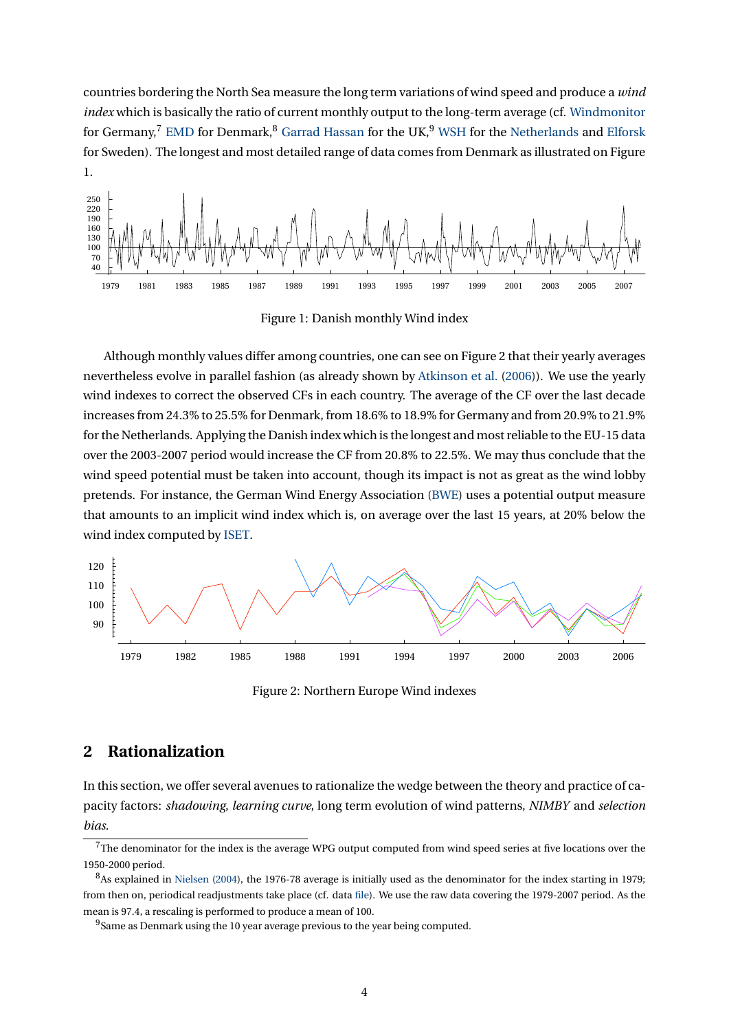countries bordering the North Sea measure the long term variations of wind speed and produce a *wind index* which is basically the ratio of current monthly output to the long-term average (cf. [Windmonitor](http://reisi.iset.uni-kassel.de/pls/w3reisiwebdad/www_reisi_page_new.show_page?page_nr=243&lang=eng) for Germany,<sup>[7](#page-3-0)</sup> [EMD](http://www.vindstat.dk) for Denmark,<sup>[8](#page-3-1)</sup> [Garrad Hassan](http://www.garradhassan.com/services/eds/ukindex.php) for the UK,<sup>[9](#page-3-2)</sup> [WSH](http://home.planet.nl/~windsh/windexen.html) for the [Netherlands](http://home.planet.nl/~windsh/Windexen-NL-WSH.xls) and [Elforsk](http://www.vindenergi.org/driftuppfolj.htm) for Sweden). The longest and most detailed range of data comes from Denmark as illustrated on Figure [1.](#page-3-3)



<span id="page-3-3"></span>Figure 1: Danish monthly Wind index

Although monthly values differ among countries, one can see on Figure [2](#page-3-4) that their yearly averages nevertheless evolve in parallel fashion (as already shown by [Atkinson et al.](#page-7-6) [\(2006\)](#page-7-6)). We use the yearly wind indexes to correct the observed CFs in each country. The average of the CF over the last decade increases from 24.3% to 25.5% for Denmark, from 18.6% to 18.9% for Germany and from 20.9% to 21.9% for the Netherlands. Applying the Danish index which is the longest and most reliable to the EU-15 data over the 2003-2007 period would increase the CF from 20.8% to 22.5%. We may thus conclude that the wind speed potential must be taken into account, though its impact is not as great as the wind lobby pretends. For instance, the German Wind Energy Association [\(BWE\)](http://www.wind-energie.de/de/statistiken/) uses a potential output measure that amounts to an implicit wind index which is, on average over the last 15 years, at 20% below the wind index computed by [ISET.](http://reisi.iset.uni-kassel.de/pls/w3reisiwebdad/www_reisi_page_new.show_page?page_nr=243&lang=eng)



<span id="page-3-4"></span>Figure 2: Northern Europe Wind indexes

# **2 Rationalization**

In this section, we offer several avenues to rationalize the wedge between the theory and practice of capacity factors: *shadowing*, *learning curve*, long term evolution of wind patterns, *NIMBY* and *selection bias*.

<span id="page-3-0"></span> $7$ The denominator for the index is the average WPG output computed from wind speed series at five locations over the 1950-2000 period.

<span id="page-3-1"></span> ${}^{8}$ As explained in [Nielsen](#page-9-16) [\(2004\)](#page-9-16), the 1976-78 average is initially used as the denominator for the index starting in 1979; from then on, periodical readjustments take place (cf. data [file\)](http://www.vindstat.dk/Excel_ark/Vindindeks.xls). We use the raw data covering the 1979-2007 period. As the mean is 97.4, a rescaling is performed to produce a mean of 100.

<span id="page-3-2"></span><sup>&</sup>lt;sup>9</sup>Same as Denmark using the 10 year average previous to the year being computed.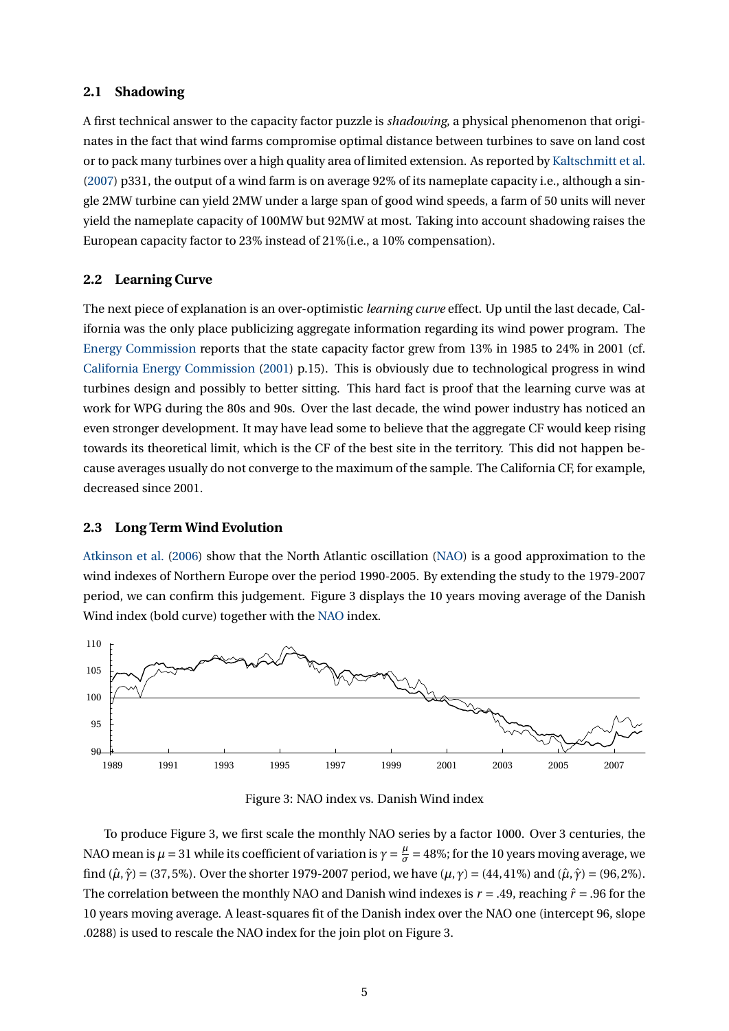#### **2.1 Shadowing**

A first technical answer to the capacity factor puzzle is *shadowing*, a physical phenomenon that originates in the fact that wind farms compromise optimal distance between turbines to save on land cost or to pack many turbines over a high quality area of limited extension. As reported by [Kaltschmitt et al.](#page-9-17) [\(2007\)](#page-9-17) p331, the output of a wind farm is on average 92% of its nameplate capacity i.e., although a single 2MW turbine can yield 2MW under a large span of good wind speeds, a farm of 50 units will never yield the nameplate capacity of 100MW but 92MW at most. Taking into account shadowing raises the European capacity factor to 23% instead of 21%(i.e., a 10% compensation).

#### **2.2 Learning Curve**

The next piece of explanation is an over-optimistic *learning curve* effect. Up until the last decade, California was the only place publicizing aggregate information regarding its wind power program. The [Energy Commission](http://www.energyalmanac.ca.gov/renewables/index.html) reports that the state capacity factor grew from 13% in 1985 to 24% in 2001 (cf. [California Energy Commission](#page-8-15) [\(2001\)](#page-8-15) p.15). This is obviously due to technological progress in wind turbines design and possibly to better sitting. This hard fact is proof that the learning curve was at work for WPG during the 80s and 90s. Over the last decade, the wind power industry has noticed an even stronger development. It may have lead some to believe that the aggregate CF would keep rising towards its theoretical limit, which is the CF of the best site in the territory. This did not happen because averages usually do not converge to the maximum of the sample. The California CF, for example, decreased since 2001.

#### **2.3 Long Term Wind Evolution**

[Atkinson et al.](#page-7-6) [\(2006\)](#page-7-6) show that the North Atlantic oscillation [\(NAO\)](http://en.wikipedia.org/wiki/North_Atlantic_Oscillation) is a good approximation to the wind indexes of Northern Europe over the period 1990-2005. By extending the study to the 1979-2007 period, we can confirm this judgement. Figure [3](#page-4-0) displays the 10 years moving average of the Danish Wind index (bold curve) together with the [NAO](http://climexp.knmi.nl/selectindex.cgi?someone@somewhere) index.



<span id="page-4-0"></span>Figure 3: NAO index vs. Danish Wind index

To produce Figure [3,](#page-4-0) we first scale the monthly NAO series by a factor 1000. Over 3 centuries, the NAO mean is  $\mu$  = 31 while its coefficient of variation is  $\gamma = \frac{\mu}{\sigma}$  $\frac{\mu}{\sigma}$  = 48%; for the 10 years moving average, we find  $(\hat{\mu}, \hat{\gamma}) = (37, 5\%)$ . Over the shorter 1979-2007 period, we have  $(\mu, \gamma) = (44, 41\%)$  and  $(\hat{\mu}, \hat{\gamma}) = (96, 2\%)$ . The correlation between the monthly NAO and Danish wind indexes is  $r = .49$ , reaching  $\hat{r} = .96$  for the 10 years moving average. A least-squares fit of the Danish index over the NAO one (intercept 96, slope .0288) is used to rescale the NAO index for the join plot on Figure [3.](#page-4-0)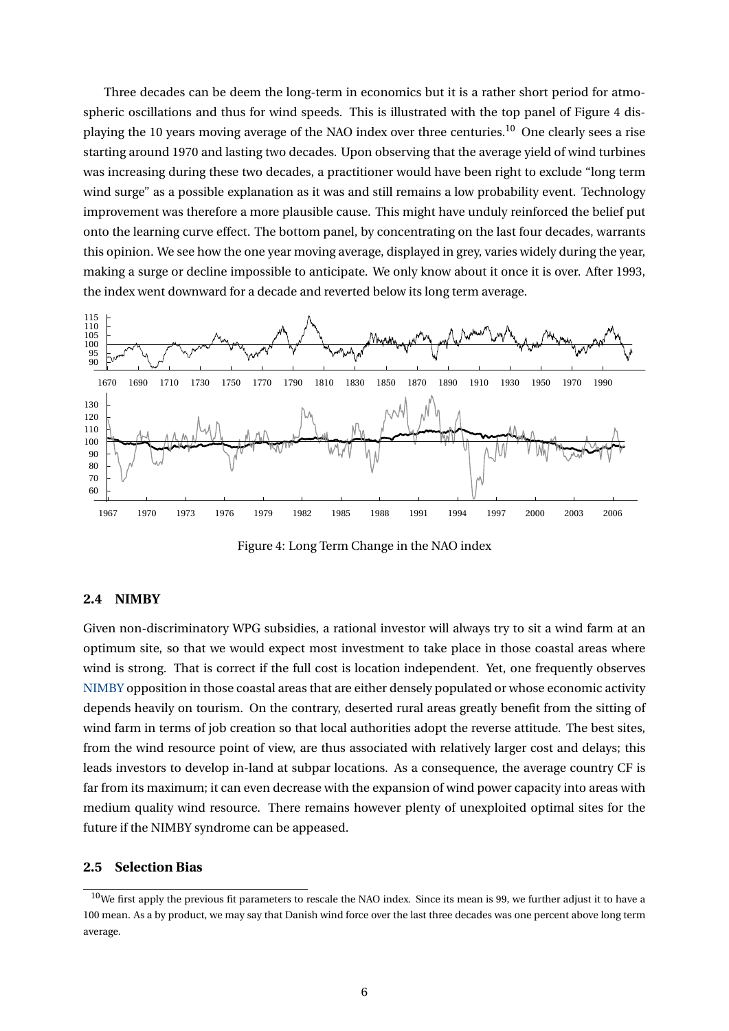Three decades can be deem the long-term in economics but it is a rather short period for atmospheric oscillations and thus for wind speeds. This is illustrated with the top panel of Figure [4](#page-5-0) dis-playing the [10](#page-5-1) years moving average of the NAO index over three centuries.<sup>10</sup> One clearly sees a rise starting around 1970 and lasting two decades. Upon observing that the average yield of wind turbines was increasing during these two decades, a practitioner would have been right to exclude "long term wind surge" as a possible explanation as it was and still remains a low probability event. Technology improvement was therefore a more plausible cause. This might have unduly reinforced the belief put onto the learning curve effect. The bottom panel, by concentrating on the last four decades, warrants this opinion. We see how the one year moving average, displayed in grey, varies widely during the year, making a surge or decline impossible to anticipate. We only know about it once it is over. After 1993, the index went downward for a decade and reverted below its long term average.



<span id="page-5-0"></span>Figure 4: Long Term Change in the NAO index

#### **2.4 NIMBY**

Given non-discriminatory WPG subsidies, a rational investor will always try to sit a wind farm at an optimum site, so that we would expect most investment to take place in those coastal areas where wind is strong. That is correct if the full cost is location independent. Yet, one frequently observes [NIMBY](http://en.wikipedia.org/wiki/NIMBY) opposition in those coastal areas that are either densely populated or whose economic activity depends heavily on tourism. On the contrary, deserted rural areas greatly benefit from the sitting of wind farm in terms of job creation so that local authorities adopt the reverse attitude. The best sites, from the wind resource point of view, are thus associated with relatively larger cost and delays; this leads investors to develop in-land at subpar locations. As a consequence, the average country CF is far from its maximum; it can even decrease with the expansion of wind power capacity into areas with medium quality wind resource. There remains however plenty of unexploited optimal sites for the future if the NIMBY syndrome can be appeased.

#### **2.5 Selection Bias**

<span id="page-5-1"></span> $10$ We first apply the previous fit parameters to rescale the NAO index. Since its mean is 99, we further adjust it to have a 100 mean. As a by product, we may say that Danish wind force over the last three decades was one percent above long term average.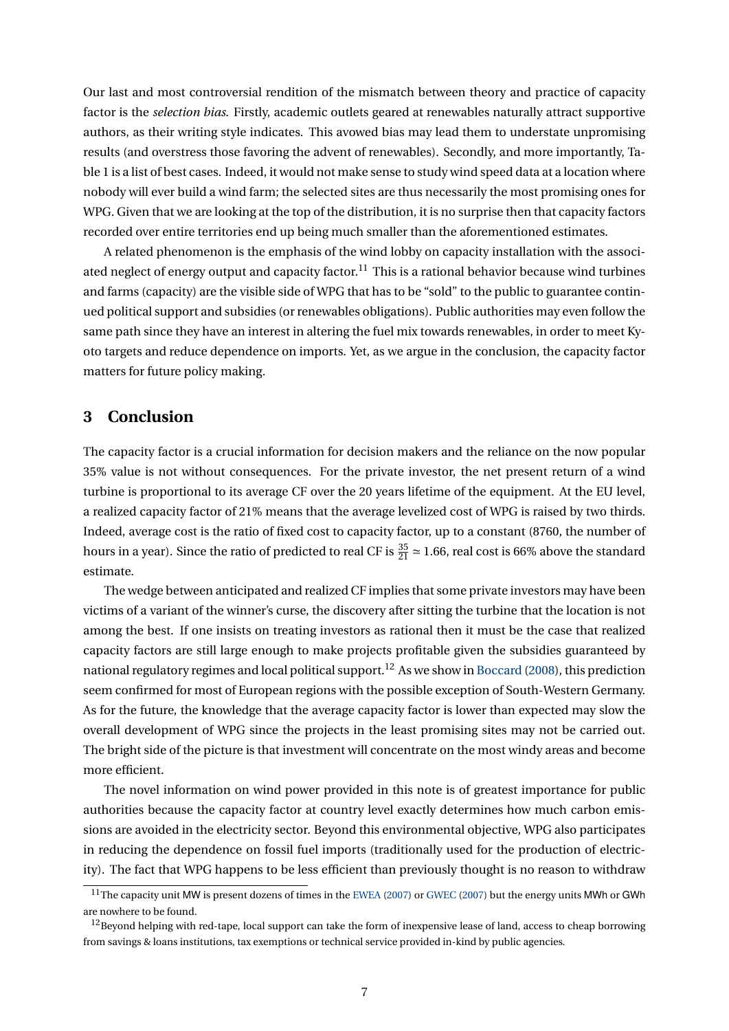Our last and most controversial rendition of the mismatch between theory and practice of capacity factor is the *selection bias*. Firstly, academic outlets geared at renewables naturally attract supportive authors, as their writing style indicates. This avowed bias may lead them to understate unpromising results (and overstress those favoring the advent of renewables). Secondly, and more importantly, Table [1](#page-1-0) is a list of best cases. Indeed, it would not make sense to study wind speed data at a location where nobody will ever build a wind farm; the selected sites are thus necessarily the most promising ones for WPG. Given that we are looking at the top of the distribution, it is no surprise then that capacity factors recorded over entire territories end up being much smaller than the aforementioned estimates.

A related phenomenon is the emphasis of the wind lobby on capacity installation with the associ-ated neglect of energy output and capacity factor.<sup>[11](#page-6-0)</sup> This is a rational behavior because wind turbines and farms (capacity) are the visible side of WPG that has to be "sold" to the public to guarantee continued political support and subsidies (or renewables obligations). Public authorities may even follow the same path since they have an interest in altering the fuel mix towards renewables, in order to meet Kyoto targets and reduce dependence on imports. Yet, as we argue in the conclusion, the capacity factor matters for future policy making.

# **3 Conclusion**

The capacity factor is a crucial information for decision makers and the reliance on the now popular 35% value is not without consequences. For the private investor, the net present return of a wind turbine is proportional to its average CF over the 20 years lifetime of the equipment. At the EU level, a realized capacity factor of 21% means that the average levelized cost of WPG is raised by two thirds. Indeed, average cost is the ratio of fixed cost to capacity factor, up to a constant (8760, the number of hours in a year). Since the ratio of predicted to real CF is  $\frac{35}{21} \approx 1.66$ , real cost is 66% above the standard estimate.

The wedge between anticipated and realized CF implies that some private investors may have been victims of a variant of the winner's curse, the discovery after sitting the turbine that the location is not among the best. If one insists on treating investors as rational then it must be the case that realized capacity factors are still large enough to make projects profitable given the subsidies guaranteed by national regulatory regimes and local political support.<sup>[12](#page-6-1)</sup> As we show in [Boccard](#page-8-16) [\(2008\)](#page-8-16), this prediction seem confirmed for most of European regions with the possible exception of South-Western Germany. As for the future, the knowledge that the average capacity factor is lower than expected may slow the overall development of WPG since the projects in the least promising sites may not be carried out. The bright side of the picture is that investment will concentrate on the most windy areas and become more efficient.

The novel information on wind power provided in this note is of greatest importance for public authorities because the capacity factor at country level exactly determines how much carbon emissions are avoided in the electricity sector. Beyond this environmental objective, WPG also participates in reducing the dependence on fossil fuel imports (traditionally used for the production of electricity). The fact that WPG happens to be less efficient than previously thought is no reason to withdraw

<span id="page-6-0"></span><sup>&</sup>lt;sup>11</sup>The capacity unit MW is present dozens of times in the [EWEA](#page-8-17) [\(2007\)](#page-8-18) or [GWEC](#page-8-18) (2007) but the energy units MWh or GWh are nowhere to be found.

<span id="page-6-1"></span> $12$ Beyond helping with red-tape, local support can take the form of inexpensive lease of land, access to cheap borrowing from savings & loans institutions, tax exemptions or technical service provided in-kind by public agencies.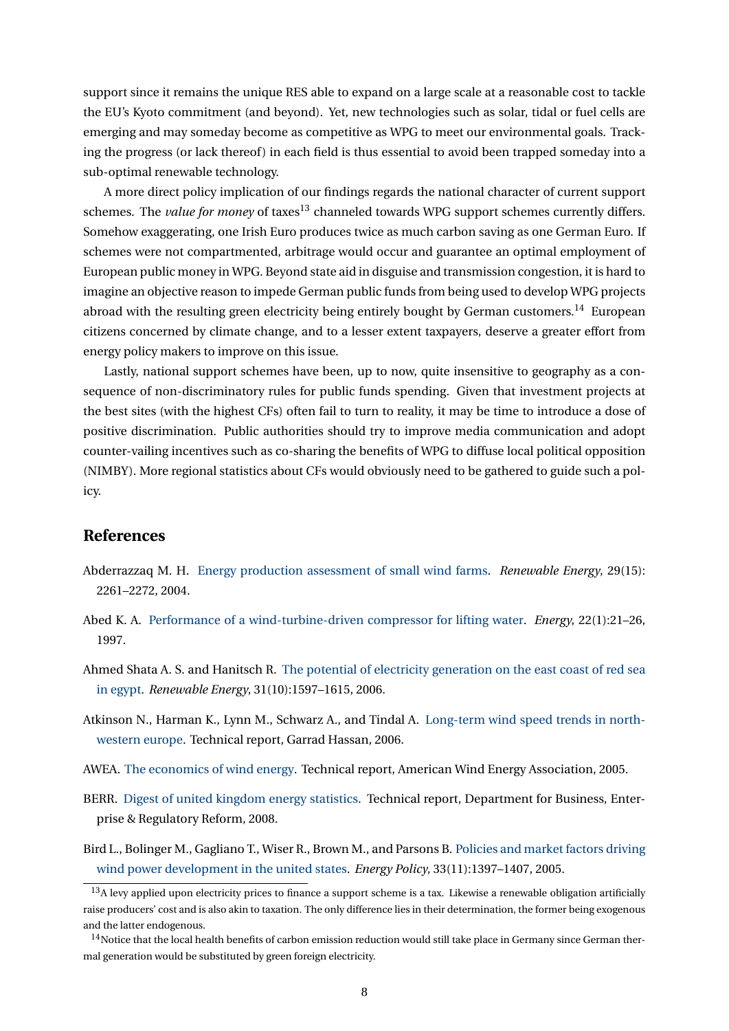support since it remains the unique RES able to expand on a large scale at a reasonable cost to tackle the EU's Kyoto commitment (and beyond). Yet, new technologies such as solar, tidal or fuel cells are emerging and may someday become as competitive as WPG to meet our environmental goals. Tracking the progress (or lack thereof) in each field is thus essential to avoid been trapped someday into a sub-optimal renewable technology.

A more direct policy implication of our findings regards the national character of current support schemes. The *value for money* of taxes<sup>[13](#page-7-7)</sup> channeled towards WPG support schemes currently differs. Somehow exaggerating, one Irish Euro produces twice as much carbon saving as one German Euro. If schemes were not compartmented, arbitrage would occur and guarantee an optimal employment of European public money in WPG. Beyond state aid in disguise and transmission congestion, it is hard to imagine an objective reason to impede German public funds from being used to develop WPG projects abroad with the resulting green electricity being entirely bought by German customers.<sup>[14](#page-7-8)</sup> European citizens concerned by climate change, and to a lesser extent taxpayers, deserve a greater effort from energy policy makers to improve on this issue.

Lastly, national support schemes have been, up to now, quite insensitive to geography as a consequence of non-discriminatory rules for public funds spending. Given that investment projects at the best sites (with the highest CFs) often fail to turn to reality, it may be time to introduce a dose of positive discrimination. Public authorities should try to improve media communication and adopt counter-vailing incentives such as co-sharing the benefits of WPG to diffuse local political opposition (NIMBY). More regional statistics about CFs would obviously need to be gathered to guide such a policy.

## **References**

- <span id="page-7-3"></span>Abderrazzaq M. H. [Energy production assessment of small wind farms.](http://dx.doi.org/10.1016/j.renene.2004.04.003) *Renewable Energy*, 29(15): 2261–2272, 2004.
- <span id="page-7-0"></span>Abed K. A. [Performance of a wind-turbine-driven compressor for lifting water.](http://dx.doi.org/10.1016/S0360-5442(96)00089-8) *Energy*, 22(1):21–26, 1997.
- <span id="page-7-2"></span>Ahmed Shata A. S. and Hanitsch R. [The potential of electricity generation on the east coast of red sea](http://dx.doi.org/10.1016/j.renene.2005.09.026) [in egypt.](http://dx.doi.org/10.1016/j.renene.2005.09.026) *Renewable Energy*, 31(10):1597–1615, 2006.
- <span id="page-7-6"></span>Atkinson N., Harman K., Lynn M., Schwarz A., and Tindal A. [Long-term wind speed trends in north](http://www.garradhassan.com/downloads/reports/Long_term_wind_speed_trends_in_northwestern_Europe.pdf)[western europe.](http://www.garradhassan.com/downloads/reports/Long_term_wind_speed_trends_in_northwestern_Europe.pdf) Technical report, Garrad Hassan, 2006.
- <span id="page-7-5"></span>AWEA. [The economics of wind energy.](http://www.awea.org/pubs/factsheets/EconomicsOfWind-Feb2005.pdf) Technical report, American Wind Energy Association, 2005.
- <span id="page-7-4"></span>BERR. [Digest of united kingdom energy statistics.](http://stats.berr.gov.uk/energystats/dukes08_c7.pdf) Technical report, Department for Business, Enterprise & Regulatory Reform, 2008.
- <span id="page-7-1"></span>Bird L., Bolinger M., Gagliano T., Wiser R., Brown M., and Parsons B. [Policies and market factors driving](http://dx.doi.org/10.1016/j.enpol.2003.12.018) [wind power development in the united states.](http://dx.doi.org/10.1016/j.enpol.2003.12.018) *Energy Policy*, 33(11):1397–1407, 2005.

<span id="page-7-7"></span> $13A$  levy applied upon electricity prices to finance a support scheme is a tax. Likewise a renewable obligation artificially raise producers' cost and is also akin to taxation. The only difference lies in their determination, the former being exogenous and the latter endogenous.

<span id="page-7-8"></span> $14$ Notice that the local health benefits of carbon emission reduction would still take place in Germany since German thermal generation would be substituted by green foreign electricity.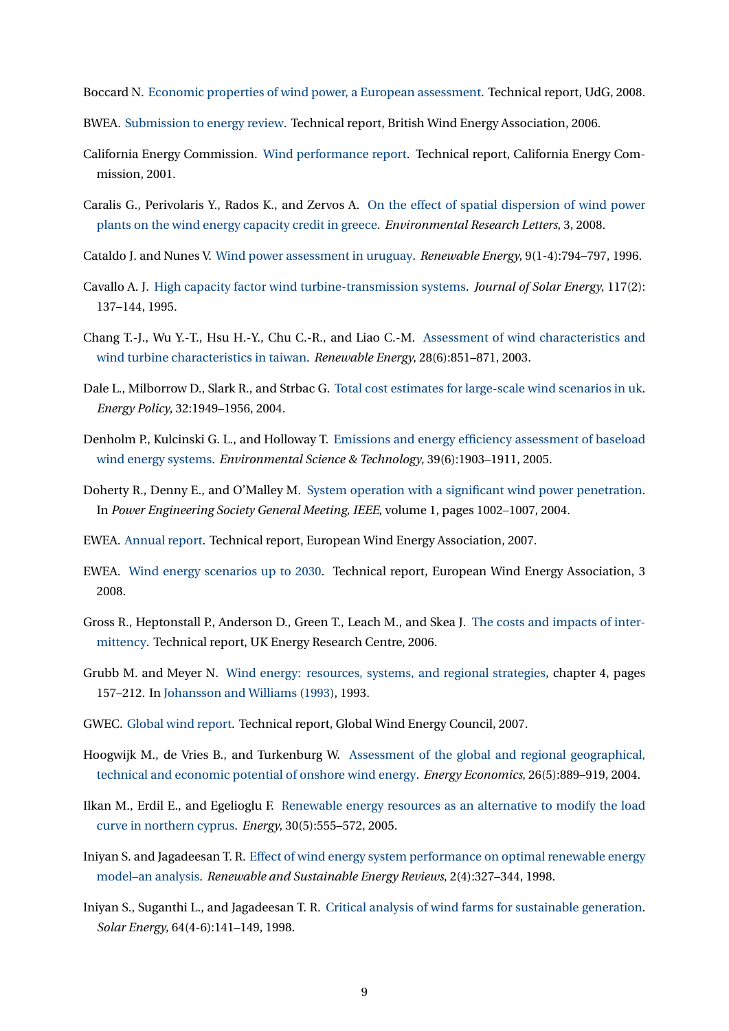<span id="page-8-16"></span>Boccard N. [Economic properties of wind power, a European assessment.](http://papers.ssrn.com/abstract=1285462) Technical report, UdG, 2008.

- <span id="page-8-14"></span>BWEA. [Submission to energy review.](http://www.bwea.com/pdf/energyreview/BWEA_ERsubmission.pdf) Technical report, British Wind Energy Association, 2006.
- <span id="page-8-15"></span>California Energy Commission. [Wind performance report.](http://www.energy.ca.gov/reports/2003-01-17_500-02-034F.PDF) Technical report, California Energy Commission, 2001.
- <span id="page-8-6"></span>Caralis G., Perivolaris Y., Rados K., and Zervos A. [On the effect of spatial dispersion of wind power](http://dx.doi.org/10.1088/1748-9326/3/1/015003) [plants on the wind energy capacity credit in greece.](http://dx.doi.org/10.1088/1748-9326/3/1/015003) *Environmental Research Letters*, 3, 2008.
- <span id="page-8-8"></span>Cataldo J. and Nunes V. [Wind power assessment in uruguay.](http://dx.doi.org/10.1016/0960-1481(96)88402-3) *Renewable Energy*, 9(1-4):794–797, 1996.
- <span id="page-8-7"></span>Cavallo A. J. [High capacity factor wind turbine-transmission systems.](http://dx.doi.org/10.1115/1.2870843) *Journal of Solar Energy*, 117(2): 137–144, 1995.
- <span id="page-8-3"></span>Chang T.-J., Wu Y.-T., Hsu H.-Y., Chu C.-R., and Liao C.-M. [Assessment of wind characteristics and](http://dx.doi.org/10.1016/S0960-1481(02)00184-2) [wind turbine characteristics in taiwan.](http://dx.doi.org/10.1016/S0960-1481(02)00184-2) *Renewable Energy*, 28(6):851–871, 2003.
- <span id="page-8-13"></span>Dale L., Milborrow D., Slark R., and Strbac G. [Total cost estimates for large-scale wind scenarios in uk.](http://dx.doi.org/10.1016/j.enpol.2004.03.012) *Energy Policy*, 32:1949–1956, 2004.
- <span id="page-8-10"></span>Denholm P., Kulcinski G. L., and Holloway T. [Emissions and energy efficiency assessment of baseload](http://dx.doi.org/10.1021/es049946p) [wind energy systems.](http://dx.doi.org/10.1021/es049946p) *Environmental Science & Technology*, 39(6):1903–1911, 2005.
- <span id="page-8-4"></span>Doherty R., Denny E., and O'Malley M. [System operation with a significant wind power penetration.](http://dx.doi.org/10.1109/PES.2004.1372988) In *Power Engineering Society General Meeting, IEEE*, volume 1, pages 1002–1007, 2004.
- <span id="page-8-17"></span>EWEA. [Annual report.](http://www.ewea.org/fileadmin/ewea_documents/documents/publications/reports/ar07-ewea.pdf) Technical report, European Wind Energy Association, 2007.
- <span id="page-8-11"></span>EWEA. [Wind energy scenarios up to 2030.](http://www.ewea.org/fileadmin/ewea_documents/documents/publications/reports/purepower.pdf) Technical report, European Wind Energy Association, 3 2008.
- <span id="page-8-12"></span>Gross R., Heptonstall P., Anderson D., Green T., Leach M., and Skea J. [The costs and impacts of inter](http://www.uwig.org/0604_Intermittency_report_final.pdf)[mittency.](http://www.uwig.org/0604_Intermittency_report_final.pdf) Technical report, UK Energy Research Centre, 2006.
- <span id="page-8-0"></span>Grubb M. and Meyer N. [Wind energy: resources, systems, and regional strategies,](http://www.islandpress.org/bookstore/details.php?isbn=9781559631389) chapter 4, pages 157–212. In [Johansson and Williams](#page-9-18) [\(1993\)](#page-9-18), 1993.
- <span id="page-8-18"></span>GWEC. [Global wind report.](http://www.gwec.net/fileadmin/documents/test2/gwec-08-update_FINAL.pdf) Technical report, Global Wind Energy Council, 2007.
- <span id="page-8-1"></span>Hoogwijk M., de Vries B., and Turkenburg W. [Assessment of the global and regional geographical,](http://dx.doi.org/10.1016/j.eneco.2004.04.016) [technical and economic potential of onshore wind energy.](http://dx.doi.org/10.1016/j.eneco.2004.04.016) *Energy Economics*, 26(5):889–919, 2004.
- <span id="page-8-5"></span>Ilkan M., Erdil E., and Egelioglu F. [Renewable energy resources as an alternative to modify the load](http://dx.doi.org/10.1016/j.energy.2004.04.059) [curve in northern cyprus.](http://dx.doi.org/10.1016/j.energy.2004.04.059) *Energy*, 30(5):555–572, 2005.
- <span id="page-8-2"></span>Iniyan S. and Jagadeesan T. R. [Effect of wind energy system performance on optimal renewable energy](http://dx.doi.org/10.1016/S1364-0321(98)00003-3) [model–an analysis.](http://dx.doi.org/10.1016/S1364-0321(98)00003-3) *Renewable and Sustainable Energy Reviews*, 2(4):327–344, 1998.
- <span id="page-8-9"></span>Iniyan S., Suganthi L., and Jagadeesan T. R. [Critical analysis of wind farms for sustainable generation.](http://dx.doi.org/10.1016/S0038-092X(98)00102-9) *Solar Energy*, 64(4-6):141–149, 1998.